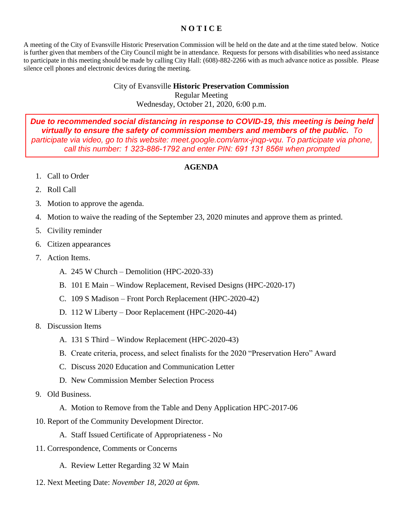## **N O T I C E**

A meeting of the City of Evansville Historic Preservation Commission will be held on the date and at the time stated below. Notice is further given that members of the City Council might be in attendance. Requests for persons with disabilities who need assistance to participate in this meeting should be made by calling City Hall: (608)-882-2266 with as much advance notice as possible. Please silence cell phones and electronic devices during the meeting.

## City of Evansville **Historic Preservation Commission** Regular Meeting Wednesday, October 21, 2020, 6:00 p.m.

*Due to recommended social distancing in response to COVID-19, this meeting is being held virtually to ensure the safety of commission members and members of the public. To*  participate via video, go to this website: meet.google.com/amx-jnqp-vqu. To participate via phone, *call this number: 1 323-886-1792 and enter PIN: 691 131 856# when prompted*

## **AGENDA**

- 1. Call to Order
- 2. Roll Call
- 3. Motion to approve the agenda.
- 4. Motion to waive the reading of the September 23, 2020 minutes and approve them as printed.
- 5. Civility reminder
- 6. Citizen appearances
- 7. Action Items.
	- A. 245 W Church Demolition (HPC-2020-33)
	- B. 101 E Main Window Replacement, Revised Designs (HPC-2020-17)
	- C. 109 S Madison Front Porch Replacement (HPC-2020-42)
	- D. 112 W Liberty Door Replacement (HPC-2020-44)
- 8. Discussion Items
	- A. 131 S Third Window Replacement (HPC-2020-43)
	- B. Create criteria, process, and select finalists for the 2020 "Preservation Hero" Award
	- C. Discuss 2020 Education and Communication Letter
	- D. New Commission Member Selection Process
- 9. Old Business.
	- A. Motion to Remove from the Table and Deny Application HPC-2017-06
- 10. Report of the Community Development Director.
	- A. Staff Issued Certificate of Appropriateness No
- 11. Correspondence, Comments or Concerns
	- A. Review Letter Regarding 32 W Main
- 12. Next Meeting Date: *November 18, 2020 at 6pm.*